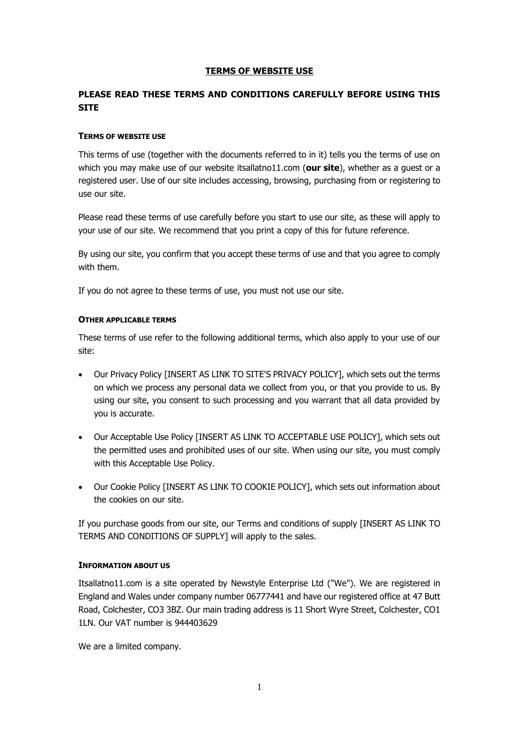# **TERMS OF WEBSITE USE**

# **PLEASE READ THESE TERMS AND CONDITIONS CAREFULLY BEFORE USING THIS SITE**

## **TERMS OF WEBSITE USE**

This terms of use (together with the documents referred to in it) tells you the terms of use on which you may make use of our website itsallatno11.com (**our site**), whether as a guest or a registered user. Use of our site includes accessing, browsing, purchasing from or registering to use our site.

Please read these terms of use carefully before you start to use our site, as these will apply to your use of our site. We recommend that you print a copy of this for future reference.

By using our site, you confirm that you accept these terms of use and that you agree to comply with them.

If you do not agree to these terms of use, you must not use our site.

### **OTHER APPLICABLE TERMS**

These terms of use refer to the following additional terms, which also apply to your use of our site:

- Our Privacy Policy [INSERT AS LINK TO SITE'S PRIVACY POLICY], which sets out the terms on which we process any personal data we collect from you, or that you provide to us. By using our site, you consent to such processing and you warrant that all data provided by you is accurate.
- Our Acceptable Use Policy [INSERT AS LINK TO ACCEPTABLE USE POLICY], which sets out the permitted uses and prohibited uses of our site. When using our site, you must comply with this Acceptable Use Policy.
- Our Cookie Policy [INSERT AS LINK TO COOKIE POLICY], which sets out information about the cookies on our site.

If you purchase goods from our site, our Terms and conditions of supply [INSERT AS LINK TO TERMS AND CONDITIONS OF SUPPLY] will apply to the sales.

# **INFORMATION ABOUT US**

Itsallatno11.com is a site operated by Newstyle Enterprise Ltd ("We"). We are registered in England and Wales under company number 06777441 and have our registered office at 47 Butt Road, Colchester, CO3 3BZ. Our main trading address is 11 Short Wyre Street, Colchester, CO1 1LN. Our VAT number is 944403629

We are a limited company.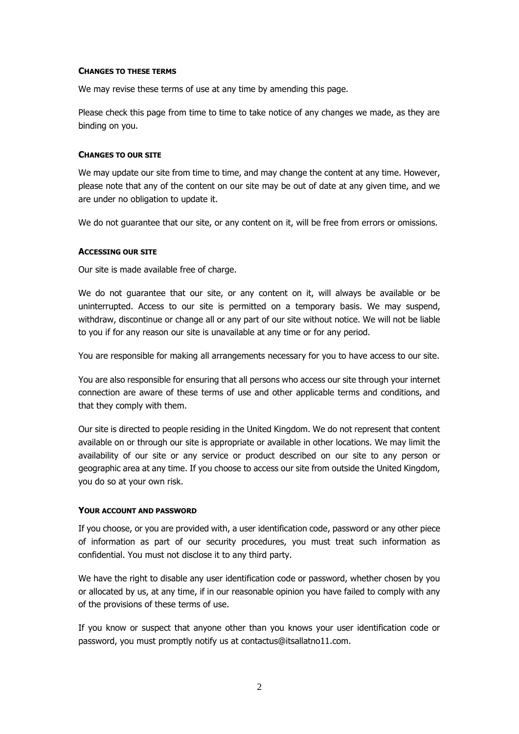#### **CHANGES TO THESE TERMS**

We may revise these terms of use at any time by amending this page.

Please check this page from time to time to take notice of any changes we made, as they are binding on you.

### **CHANGES TO OUR SITE**

We may update our site from time to time, and may change the content at any time. However, please note that any of the content on our site may be out of date at any given time, and we are under no obligation to update it.

We do not guarantee that our site, or any content on it, will be free from errors or omissions.

### **ACCESSING OUR SITE**

Our site is made available free of charge.

We do not guarantee that our site, or any content on it, will always be available or be uninterrupted. Access to our site is permitted on a temporary basis. We may suspend, withdraw, discontinue or change all or any part of our site without notice. We will not be liable to you if for any reason our site is unavailable at any time or for any period.

You are responsible for making all arrangements necessary for you to have access to our site.

You are also responsible for ensuring that all persons who access our site through your internet connection are aware of these terms of use and other applicable terms and conditions, and that they comply with them.

Our site is directed to people residing in the United Kingdom. We do not represent that content available on or through our site is appropriate or available in other locations. We may limit the availability of our site or any service or product described on our site to any person or geographic area at any time. If you choose to access our site from outside the United Kingdom, you do so at your own risk.

#### **YOUR ACCOUNT AND PASSWORD**

If you choose, or you are provided with, a user identification code, password or any other piece of information as part of our security procedures, you must treat such information as confidential. You must not disclose it to any third party.

We have the right to disable any user identification code or password, whether chosen by you or allocated by us, at any time, if in our reasonable opinion you have failed to comply with any of the provisions of these terms of use.

If you know or suspect that anyone other than you knows your user identification code or password, you must promptly notify us at contactus@itsallatno11.com.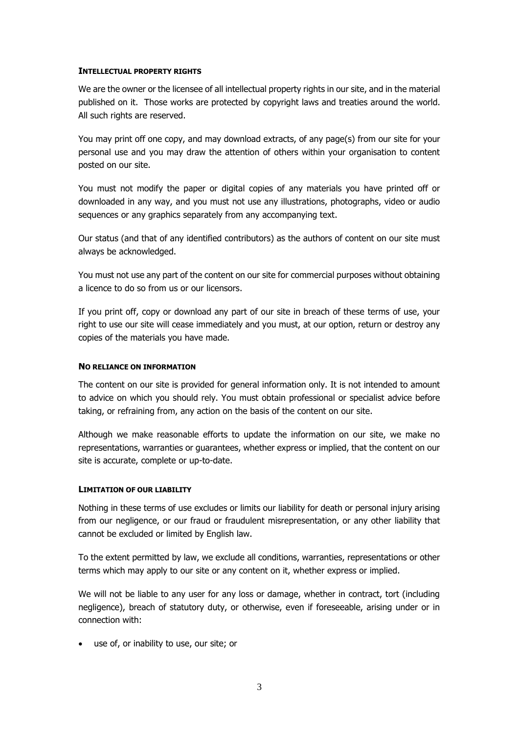#### **INTELLECTUAL PROPERTY RIGHTS**

We are the owner or the licensee of all intellectual property rights in our site, and in the material published on it. Those works are protected by copyright laws and treaties around the world. All such rights are reserved.

You may print off one copy, and may download extracts, of any page(s) from our site for your personal use and you may draw the attention of others within your organisation to content posted on our site.

You must not modify the paper or digital copies of any materials you have printed off or downloaded in any way, and you must not use any illustrations, photographs, video or audio sequences or any graphics separately from any accompanying text.

Our status (and that of any identified contributors) as the authors of content on our site must always be acknowledged.

You must not use any part of the content on our site for commercial purposes without obtaining a licence to do so from us or our licensors.

If you print off, copy or download any part of our site in breach of these terms of use, your right to use our site will cease immediately and you must, at our option, return or destroy any copies of the materials you have made.

### **NO RELIANCE ON INFORMATION**

The content on our site is provided for general information only. It is not intended to amount to advice on which you should rely. You must obtain professional or specialist advice before taking, or refraining from, any action on the basis of the content on our site.

Although we make reasonable efforts to update the information on our site, we make no representations, warranties or guarantees, whether express or implied, that the content on our site is accurate, complete or up-to-date.

#### **LIMITATION OF OUR LIABILITY**

Nothing in these terms of use excludes or limits our liability for death or personal injury arising from our negligence, or our fraud or fraudulent misrepresentation, or any other liability that cannot be excluded or limited by English law.

To the extent permitted by law, we exclude all conditions, warranties, representations or other terms which may apply to our site or any content on it, whether express or implied.

We will not be liable to any user for any loss or damage, whether in contract, tort (including negligence), breach of statutory duty, or otherwise, even if foreseeable, arising under or in connection with:

• use of, or inability to use, our site; or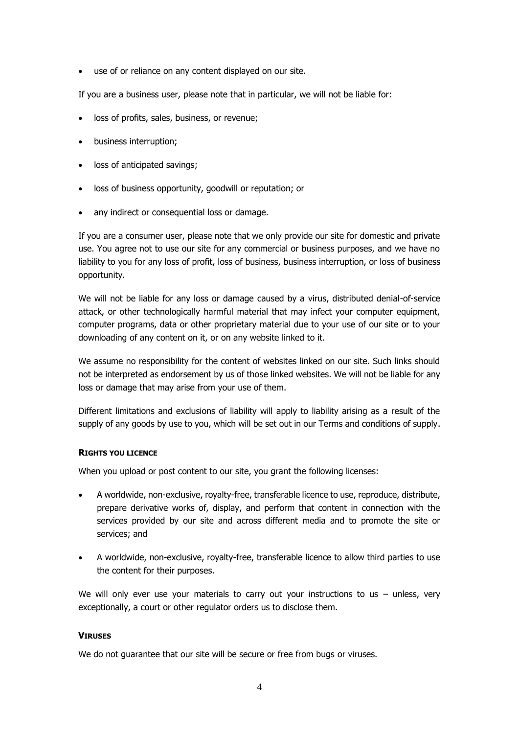• use of or reliance on any content displayed on our site.

If you are a business user, please note that in particular, we will not be liable for:

- loss of profits, sales, business, or revenue;
- business interruption;
- loss of anticipated savings;
- loss of business opportunity, goodwill or reputation; or
- any indirect or consequential loss or damage.

If you are a consumer user, please note that we only provide our site for domestic and private use. You agree not to use our site for any commercial or business purposes, and we have no liability to you for any loss of profit, loss of business, business interruption, or loss of business opportunity.

We will not be liable for any loss or damage caused by a virus, distributed denial-of-service attack, or other technologically harmful material that may infect your computer equipment, computer programs, data or other proprietary material due to your use of our site or to your downloading of any content on it, or on any website linked to it.

We assume no responsibility for the content of websites linked on our site. Such links should not be interpreted as endorsement by us of those linked websites. We will not be liable for any loss or damage that may arise from your use of them.

Different limitations and exclusions of liability will apply to liability arising as a result of the supply of any goods by use to you, which will be set out in our Terms and conditions of supply.

# **RIGHTS YOU LICENCE**

When you upload or post content to our site, you grant the following licenses:

- A worldwide, non-exclusive, royalty-free, transferable licence to use, reproduce, distribute, prepare derivative works of, display, and perform that content in connection with the services provided by our site and across different media and to promote the site or services; and
- A worldwide, non-exclusive, royalty-free, transferable licence to allow third parties to use the content for their purposes.

We will only ever use your materials to carry out your instructions to us  $-$  unless, very exceptionally, a court or other regulator orders us to disclose them.

# **VIRUSES**

We do not guarantee that our site will be secure or free from bugs or viruses.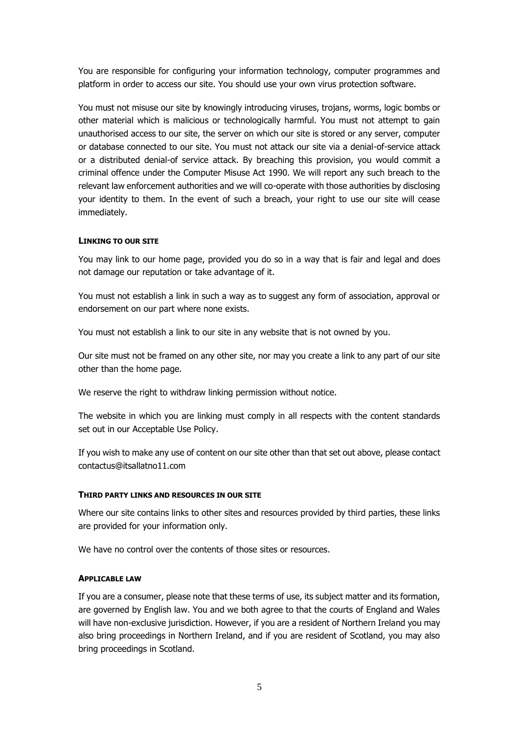You are responsible for configuring your information technology, computer programmes and platform in order to access our site. You should use your own virus protection software.

You must not misuse our site by knowingly introducing viruses, trojans, worms, logic bombs or other material which is malicious or technologically harmful. You must not attempt to gain unauthorised access to our site, the server on which our site is stored or any server, computer or database connected to our site. You must not attack our site via a denial-of-service attack or a distributed denial-of service attack. By breaching this provision, you would commit a criminal offence under the Computer Misuse Act 1990. We will report any such breach to the relevant law enforcement authorities and we will co-operate with those authorities by disclosing your identity to them. In the event of such a breach, your right to use our site will cease immediately.

#### **LINKING TO OUR SITE**

You may link to our home page, provided you do so in a way that is fair and legal and does not damage our reputation or take advantage of it.

You must not establish a link in such a way as to suggest any form of association, approval or endorsement on our part where none exists.

You must not establish a link to our site in any website that is not owned by you.

Our site must not be framed on any other site, nor may you create a link to any part of our site other than the home page.

We reserve the right to withdraw linking permission without notice.

The website in which you are linking must comply in all respects with the content standards set out in our Acceptable Use Policy.

If you wish to make any use of content on our site other than that set out above, please contact contactus@itsallatno11.com

#### **THIRD PARTY LINKS AND RESOURCES IN OUR SITE**

Where our site contains links to other sites and resources provided by third parties, these links are provided for your information only.

We have no control over the contents of those sites or resources.

# **APPLICABLE LAW**

If you are a consumer, please note that these terms of use, its subject matter and its formation, are governed by English law. You and we both agree to that the courts of England and Wales will have non-exclusive jurisdiction. However, if you are a resident of Northern Ireland you may also bring proceedings in Northern Ireland, and if you are resident of Scotland, you may also bring proceedings in Scotland.